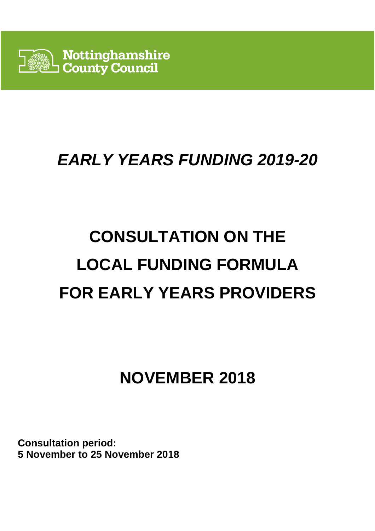

# **EARLY YEARS FUNDING 2019-20**

# **CONSULTATION ON THE LOCAL FUNDING FORMULA FOR EARLY YEARS PROVIDERS**

# **NOVEMBER 2018**

**Consultation period: 5 November to 25 November 2018**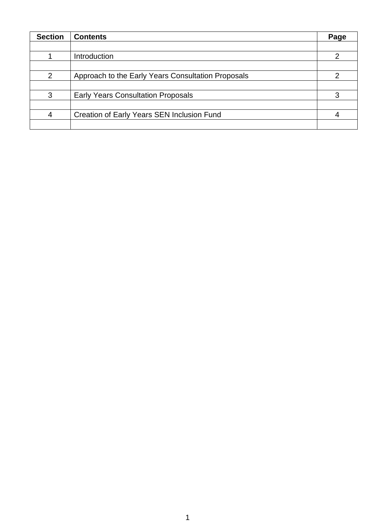| <b>Section</b> | <b>Contents</b>                                    | Page |
|----------------|----------------------------------------------------|------|
|                |                                                    |      |
|                | Introduction                                       |      |
|                |                                                    |      |
| $\overline{2}$ | Approach to the Early Years Consultation Proposals |      |
|                |                                                    |      |
| 3              | <b>Early Years Consultation Proposals</b>          |      |
|                |                                                    |      |
| $\overline{4}$ | Creation of Early Years SEN Inclusion Fund         |      |
|                |                                                    |      |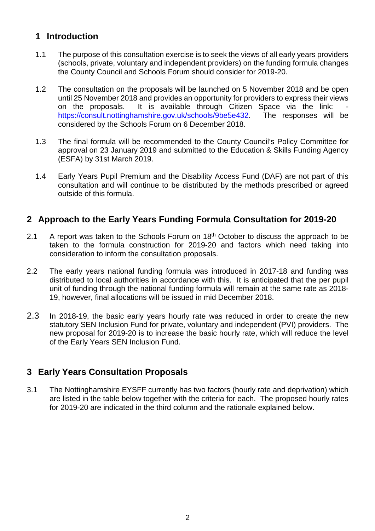## **1 Introduction**

- 1.1 The purpose of this consultation exercise is to seek the views of all early years providers (schools, private, voluntary and independent providers) on the funding formula changes the County Council and Schools Forum should consider for 2019-20.
- 1.2 The consultation on the proposals will be launched on 5 November 2018 and be open until 25 November 2018 and provides an opportunity for providers to express their views on the proposals. It is available through Citizen Space via the link: https://consult.nottinghamshire.gov.uk/schools/9be5e432. The responses will be considered by the Schools Forum on 6 December 2018.
- 1.3 The final formula will be recommended to the County Council's Policy Committee for approval on 23 January 2019 and submitted to the Education & Skills Funding Agency (ESFA) by 31st March 2019.
- 1.4 Early Years Pupil Premium and the Disability Access Fund (DAF) are not part of this consultation and will continue to be distributed by the methods prescribed or agreed outside of this formula.

### **2 Approach to the Early Years Funding Formula Consultation for 2019-20**

- 2.1 A report was taken to the Schools Forum on  $18<sup>th</sup>$  October to discuss the approach to be taken to the formula construction for 2019-20 and factors which need taking into consideration to inform the consultation proposals.
- 2.2 The early years national funding formula was introduced in 2017-18 and funding was distributed to local authorities in accordance with this. It is anticipated that the per pupil unit of funding through the national funding formula will remain at the same rate as 2018- 19, however, final allocations will be issued in mid December 2018.
- 2.3 In 2018-19, the basic early years hourly rate was reduced in order to create the new statutory SEN Inclusion Fund for private, voluntary and independent (PVI) providers. The new proposal for 2019-20 is to increase the basic hourly rate, which will reduce the level of the Early Years SEN Inclusion Fund.

## **3 Early Years Consultation Proposals**

3.1 The Nottinghamshire EYSFF currently has two factors (hourly rate and deprivation) which are listed in the table below together with the criteria for each. The proposed hourly rates for 2019-20 are indicated in the third column and the rationale explained below.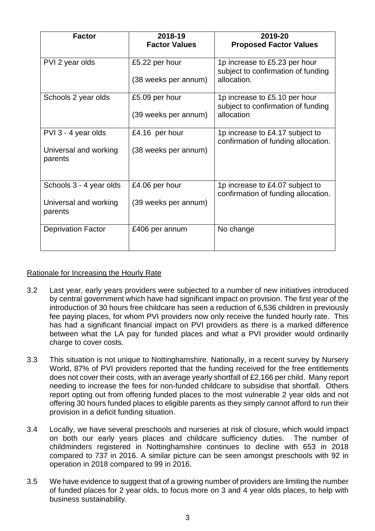| <b>Factor</b>                    | 2018-19<br><b>Factor Values</b> | 2019-20<br><b>Proposed Factor Values</b>                               |
|----------------------------------|---------------------------------|------------------------------------------------------------------------|
|                                  |                                 |                                                                        |
| PVI 2 year olds                  | £5.22 per hour                  | 1p increase to £5.23 per hour<br>subject to confirmation of funding    |
|                                  | (38 weeks per annum)            | allocation.                                                            |
| Schools 2 year olds              | £5.09 per hour                  | 1p increase to £5.10 per hour<br>subject to confirmation of funding    |
|                                  | (39 weeks per annum)            | allocation                                                             |
| PVI 3 - 4 year olds              | £4.16 per hour                  | 1p increase to £4.17 subject to<br>confirmation of funding allocation. |
| Universal and working<br>parents | (38 weeks per annum)            |                                                                        |
| Schools 3 - 4 year olds          | £4.06 per hour                  | 1p increase to £4.07 subject to<br>confirmation of funding allocation. |
| Universal and working<br>parents | (39 weeks per annum)            |                                                                        |
| <b>Deprivation Factor</b>        | £406 per annum                  | No change                                                              |

#### Rationale for Increasing the Hourly Rate

- 3.2 Last year, early years providers were subjected to a number of new initiatives introduced by central government which have had significant impact on provision. The first year of the introduction of 30 hours free childcare has seen a reduction of 6,536 children in previously fee paying places, for whom PVI providers now only receive the funded hourly rate. This has had a significant financial impact on PVI providers as there is a marked difference between what the LA pay for funded places and what a PVI provider would ordinarily charge to cover costs.
- 3.3 This situation is not unique to Nottinghamshire. Nationally, in a recent survey by Nursery World, 87% of PVI providers reported that the funding received for the free entitlements does not cover their costs, with an average yearly shortfall of £2,166 per child. Many report needing to increase the fees for non-funded childcare to subsidise that shortfall. Others report opting out from offering funded places to the most vulnerable 2 year olds and not offering 30 hours funded places to eligible parents as they simply cannot afford to run their provision in a deficit funding situation.
- 3.4 Locally, we have several preschools and nurseries at risk of closure, which would impact on both our early years places and childcare sufficiency duties. The number of childminders registered in Nottinghamshire continues to decline with 653 in 2018 compared to 737 in 2016. A similar picture can be seen amongst preschools with 92 in operation in 2018 compared to 99 in 2016.
- 3.5 We have evidence to suggest that of a growing number of providers are limiting the number of funded places for 2 year olds, to focus more on 3 and 4 year olds places, to help with business sustainability.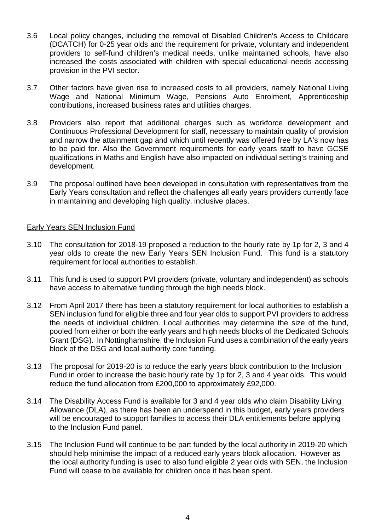- 3.6 Local policy changes, including the removal of Disabled Children's Access to Childcare (DCATCH) for 0-25 year olds and the requirement for private, voluntary and independent providers to self-fund children's medical needs, unlike maintained schools, have also increased the costs associated with children with special educational needs accessing provision in the PVI sector.
- 3.7 Other factors have given rise to increased costs to all providers, namely National Living Wage and National Minimum Wage, Pensions Auto Enrolment, Apprenticeship contributions, increased business rates and utilities charges.
- 3.8 Providers also report that additional charges such as workforce development and Continuous Professional Development for staff, necessary to maintain quality of provision and narrow the attainment gap and which until recently was offered free by LA's now has to be paid for. Also the Government requirements for early years staff to have GCSE qualifications in Maths and English have also impacted on individual setting's training and development.
- 3.9 The proposal outlined have been developed in consultation with representatives from the Early Years consultation and reflect the challenges all early years providers currently face in maintaining and developing high quality, inclusive places.

#### Early Years SEN Inclusion Fund

- 3.10 The consultation for 2018-19 proposed a reduction to the hourly rate by 1p for 2, 3 and 4 year olds to create the new Early Years SEN Inclusion Fund. This fund is a statutory requirement for local authorities to establish.
- 3.11 This fund is used to support PVI providers (private, voluntary and independent) as schools have access to alternative funding through the high needs block.
- 3.12 From April 2017 there has been a statutory requirement for local authorities to establish a SEN inclusion fund for eligible three and four year olds to support PVI providers to address the needs of individual children. Local authorities may determine the size of the fund, pooled from either or both the early years and high needs blocks of the Dedicated Schools Grant (DSG). In Nottinghamshire, the Inclusion Fund uses a combination of the early years block of the DSG and local authority core funding.
- 3.13 The proposal for 2019-20 is to reduce the early years block contribution to the Inclusion Fund in order to increase the basic hourly rate by 1p for 2, 3 and 4 year olds. This would reduce the fund allocation from £200,000 to approximately £92,000.
- 3.14 The Disability Access Fund is available for 3 and 4 year olds who claim Disability Living Allowance (DLA), as there has been an underspend in this budget, early years providers will be encouraged to support families to access their DLA entitlements before applying to the Inclusion Fund panel.
- 3.15 The Inclusion Fund will continue to be part funded by the local authority in 2019-20 which should help minimise the impact of a reduced early years block allocation. However as the local authority funding is used to also fund eligible 2 year olds with SEN, the Inclusion Fund will cease to be available for children once it has been spent.